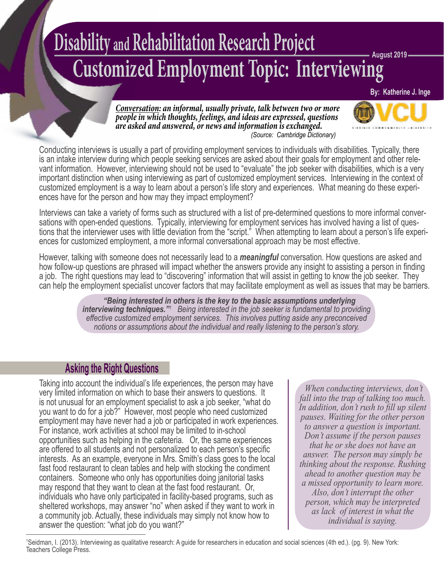# **Disability and Rehabilitation Research Project Customized Employment Topic: Interviewing August 2019**

**By: Katherine J. Inge**

*Conversation: an informal, usually private, talk between two or more people in which thoughts, feelings, and ideas are expressed, questions are asked and answered, or news and information is exchanged. (Source: Cambridge Dictionary)*



Conducting interviews is usually a part of providing employment services to individuals with disabilities. Typically, there is an intake interview during which people seeking services are asked about their goals for employment and other rele vant information. However, interviewing should not be used to "evaluate" the job seeker with disabilities, which is a very important distinction when using interviewing as part of customized employment services. Interviewing in the context of customized employment is a way to learn about a person's life story and experiences. What meaning do these experi ences have for the person and how may they impact employment?

Interviews can take a variety of forms such as structured with a list of pre-determined questions to more informal conver sations with open-ended questions. Typically, interviewing for employment services has involved having a list of ques tions that the interviewer uses with little deviation from the "script." When attempting to learn about a person's life experi ences for customized employment, a more informal conversational approach may be most effective.

However, talking with someone does not necessarily lead to a *meaningful* conversation. How questions are asked and how follow-up questions are phrased will impact whether the answers provide any insight to assisting a person in finding a job. The right questions may lead to "discovering" information that will assist in getting to know the job seeker. They can help the employment specialist uncover factors that may facilitate employment as well as issues that may be barriers.

> *"Being interested in others is the key to the basic assumptions underlying interviewing techniques.* <sup>*m*</sup> Being interested in the job seeker is fundamental to providing *effective customized employment services. This involves putting aside any preconceived notions or assumptions about the individual and really listening to the person's story.*

# **Asking the Right Questions**

Taking into account the individual's life experiences, the person may have very limited information on which to base their answers to questions. It is not unusual for an employment specialist to ask a job seeker, "what do you want to do for a job?" However, most people who need customized employment may have never had a job or participated in work experiences. For instance, work activities at school may be limited to in-school opportunities such as helping in the cafeteria. Or, the same experiences are offered to all students and not personalized to each person's specific interests. As an example, everyone in Mrs. Smith's class goes to the local fast food restaurant to clean tables and help with stocking the condiment containers. Someone who only has opportunities doing janitorial tasks may respond that they want to clean at the fast food restaurant. Or, individuals who have only participated in facility-based programs, such as sheltered workshops, may answer "no" when asked if they want to work in a community job. Actually, these individuals may simply not know how to answer the question: "what job do you want?"

*When conducting interviews, don't fall into the trap of talking too much. In addition, don't rush to fill up silent pauses. Waiting for the other person to answer a question is important. Don't assume if the person pauses that he or she does not have an answer. The person may simply be thinking about the response. Rushing ahead to another question may be a missed opportunity to learn more. Also, don't interrupt the other person, which may be interpreted as lack of interest in what the individual is saying.*

1 Seidman, I. (2013). Interviewing as qualitative research: A guide for researchers in education and social sciences (4th ed.). (pg. 9). New York: Teachers College Press.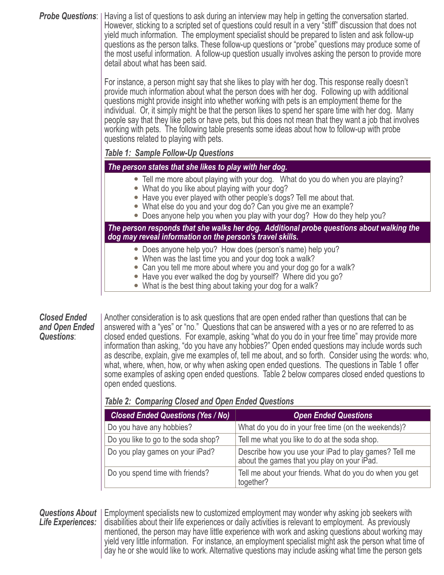*Probe Questions*: Having a list of questions to ask during an interview may help in getting the conversation started. However, sticking to a scripted set of questions could result in a very "stiff" discussion that does not yield much information. The employment specialist should be prepared to listen and ask follow-up questions as the person talks. These follow-up questions or "probe" questions may produce some of the most useful information. A follow-up question usually involves asking the person to provide more detail about what has been said.

> For instance, a person might say that she likes to play with her dog. This response really doesn't provide much information about what the person does with her dog. Following up with additional questions might provide insight into whether working with pets is an employment theme for the individual. Or, it simply might be that the person likes to spend her spare time with her dog. Many people say that they like pets or have pets, but this does not mean that they want a job that involves working with pets. The following table presents some ideas about how to follow-up with probe questions related to playing with pets.

## *Table 1: Sample Follow-Up Questions*

#### *The person states that she likes to play with her dog.*

- Tell me more about playing with your dog. What do you do when you are playing?
- What do you like about playing with your dog?
- Have you ever played with other people's dogs? Tell me about that.
- What else do you and your dog do? Can you give me an example?
- Does anyone help you when you play with your dog? How do they help you?

*The person responds that she walks her dog. Additional probe questions about walking the dog may reveal information on the person's travel skills.*

- Does anyone help you? How does (person's name) help you?
- When was the last time you and your dog took a walk?
- Can you tell me more about where you and your dog go for a walk?
- Have you ever walked the dog by yourself? Where did you go?
- What is the best thing about taking your dog for a walk?

**Closed Ended** | Another consideration is to ask questions that are open ended rather than questions that can be **and Open Ended** answered with a "yes" or "no." Questions that can be answered with a yes or no are referred to as **Questions**:<br>**Questions**: closed ended questions. For example, asking "what do you do in your free time" ma *Questions*: closed ended questions. For example, asking "what do you do in your free time" may provide more information than asking, "do you have any hobbies?" Open ended questions may include words such as describe, explain, give me examples of, tell me about, and so forth. Consider using the words: who, what, where, when, how, or why when asking open ended questions. The questions in Table 1 offer some examples of asking open ended questions. Table 2 below compares closed ended questions to open ended questions.

# *Table 2: Comparing Closed and Open Ended Questions*

| <b>Closed Ended Questions (Yes / No)</b> | <b>Open Ended Questions</b>                                                                          |
|------------------------------------------|------------------------------------------------------------------------------------------------------|
| Do you have any hobbies?                 | What do you do in your free time (on the weekends)?                                                  |
| Do you like to go to the soda shop?      | Tell me what you like to do at the soda shop.                                                        |
| Do you play games on your iPad?          | Describe how you use your iPad to play games? Tell me<br>about the games that you play on your iPad. |
| Do you spend time with friends?          | Tell me about your friends. What do you do when you get<br>together?                                 |

**Questions About** | Employment specialists new to customized employment may wonder why asking job seekers with Life Experiences: I disabilities about their life experiences or daily activities is relevant to employment. As previously mentioned, the person may have little experience with work and asking questions about working may yield very little information. For instance, an employment specialist might ask the person what time of day he or she would like to work. Alternative questions may include asking what time the person gets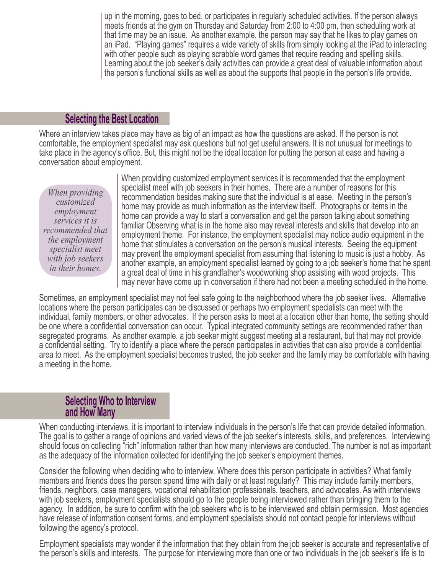up in the morning, goes to bed, or participates in regularly scheduled activities. If the person always meets friends at the gym on Thursday and Saturday from 2:00 to 4:00 pm, then scheduling work at that time may be an issue. As another example, the person may say that he likes to play games on an iPad. "Playing games" requires a wide variety of skills from simply looking at the iPad to interacting with other people such as playing scrabble word games that require reading and spelling skills. Learning about the job seeker's daily activities can provide a great deal of valuable information about the person's functional skills as well as about the supports that people in the person's life provide.

# **Selecting the Best Location**

Where an interview takes place may have as big of an impact as how the questions are asked. If the person is not comfortable, the employment specialist may ask questions but not get useful answers. It is not unusual for meetings to take place in the agency's office. But, this might not be the ideal location for putting the person at ease and having a conversation about employment.

*When providing customized employment services it is recommended that the employment specialist meet with job seekers in their homes.*

 When providing customized employment services it is recommended that the employment specialist meet with job seekers in their homes. There are a number of reasons for this recommendation besides making sure that the individual is at ease. Meeting in the person's home may provide as much information as the interview itself. Photographs or items in the home can provide a way to start a conversation and get the person talking about something familiar Observing what is in the home also may reveal interests and skills that develop into an employment theme. For instance, the employment specialist may notice audio equipment in the home that stimulates a conversation on the person's musical interests. Seeing the equipment may prevent the employment specialist from assuming that listening to music is just a hobby. As another example, an employment specialist learned by going to a job seeker's home that he spent a great deal of time in his grandfather's woodworking shop assisting with wood projects. This may never have come up in conversation if there had not been a meeting scheduled in the home.

 Sometimes, an employment specialist may not feel safe going to the neighborhood where the job seeker lives. Alternative locations where the person participates can be discussed or perhaps two employment specialists can meet with the individual, family members, or other advocates. If the person asks to meet at a location other than home, the setting should be one where a confidential conversation can occur. Typical integrated community settings are recommended rather than segregated programs. As another example, a job seeker might suggest meeting at a restaurant, but that may not provide a confidential setting. Try to identify a place where the person participates in activities that can also provide a confidential area to meet. As the employment specialist becomes trusted, the job seeker and the family may be comfortable with having a meeting in the home.

# **Selecting Who to Interview and How Many**

When conducting interviews, it is important to interview individuals in the person's life that can provide detailed information. The goal is to gather a range of opinions and varied views of the job seeker's interests, skills, and preferences. Interviewing should focus on collecting "rich" information rather than how many interviews are conducted. The number is not as important as the adequacy of the information collected for identifying the job seeker's employment themes.

Consider the following when deciding who to interview. Where does this person participate in activities? What family members and friends does the person spend time with daily or at least regularly? This may include family members, friends, neighbors, case managers, vocational rehabilitation professionals, teachers, and advocates. As with interviews with job seekers, employment specialists should go to the people being interviewed rather than bringing them to the agency. In addition, be sure to confirm with the job seekers who is to be interviewed and obtain permission. Most agencies have release of information consent forms, and employment specialists should not contact people for interviews without following the agency's protocol.

Employment specialists may wonder if the information that they obtain from the job seeker is accurate and representative of the person's skills and interests. The purpose for interviewing more than one or two individuals in the job seeker's life is to